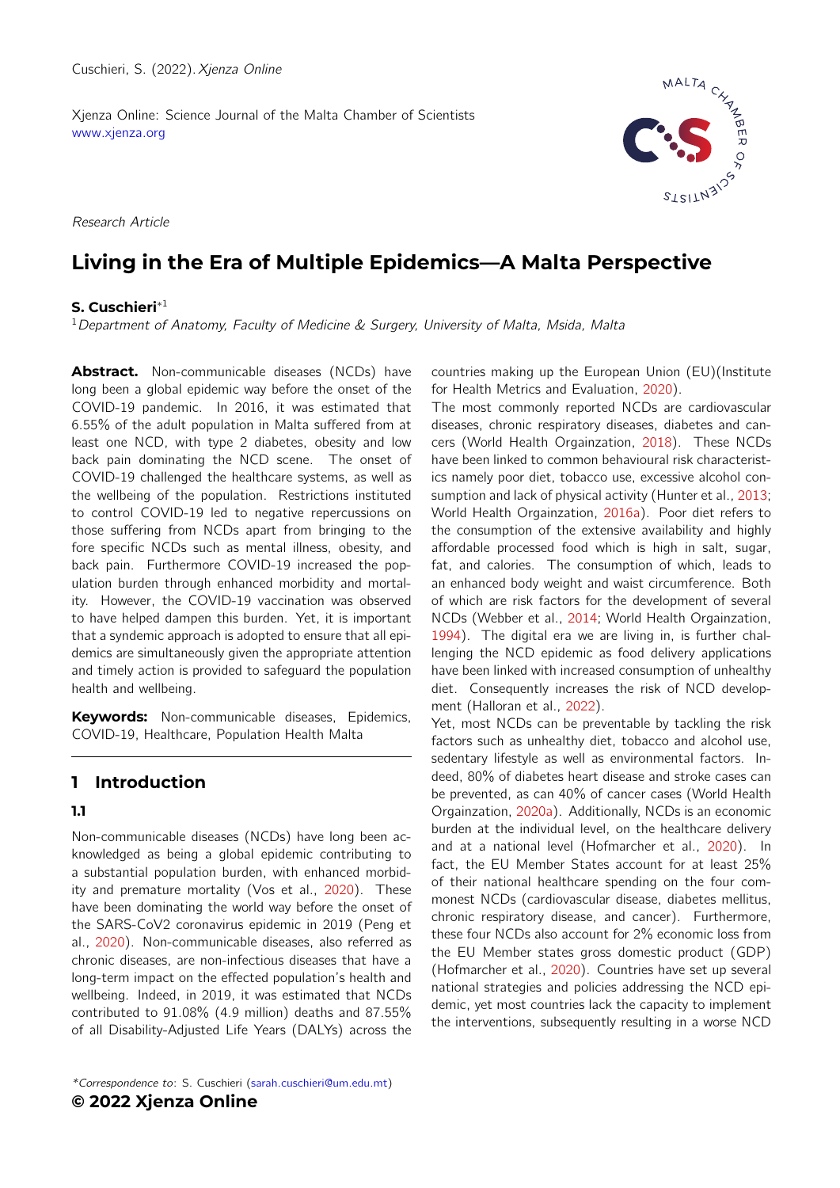Xjenza Online: Science Journal of the Malta Chamber of Scientists [www.xjenza.org](https://www.xjenza.org)

Research Article

# **Living in the Era of Multiple Epidemics—A Malta Perspective**

### **S. Cuschieri**<sup>∗</sup><sup>1</sup>

 $^1$ Department of Anatomy, Faculty of Medicine & Surgery, University of Malta, Msida, Malta

Abstract. Non-communicable diseases (NCDs) have long been a global epidemic way before the onset of the COVID-19 pandemic. In 2016, it was estimated that 6.55% of the adult population in Malta suffered from at least one NCD, with type 2 diabetes, obesity and low back pain dominating the NCD scene. The onset of COVID-19 challenged the healthcare systems, as well as the wellbeing of the population. Restrictions instituted to control COVID-19 led to negative repercussions on those suffering from NCDs apart from bringing to the fore specific NCDs such as mental illness, obesity, and back pain. Furthermore COVID-19 increased the population burden through enhanced morbidity and mortality. However, the COVID-19 vaccination was observed to have helped dampen this burden. Yet, it is important that a syndemic approach is adopted to ensure that all epidemics are simultaneously given the appropriate attention and timely action is provided to safeguard the population health and wellbeing.

**Keywords:** Non-communicable diseases, Epidemics, COVID-19, Healthcare, Population Health Malta

## **1 Introduction**

#### **1.1**

Non-communicable diseases (NCDs) have long been acknowledged as being a global epidemic contributing to a substantial population burden, with enhanced morbidity and premature mortality (Vos et al., [2020\)](#page-5-0). These have been dominating the world way before the onset of the SARS-CoV2 coronavirus epidemic in 2019 (Peng et al., [2020\)](#page-5-1). Non-communicable diseases, also referred as chronic diseases, are non-infectious diseases that have a long-term impact on the effected population's health and wellbeing. Indeed, in 2019, it was estimated that NCDs contributed to 91.08% (4.9 million) deaths and 87.55% of all Disability-Adjusted Life Years (DALYs) across the

\*Correspondence to: S. Cuschieri [\(sarah.cuschieri@um.edu.mt\)](mailto:sarah.cuschieri@um.edu.mt) **© 2022 Xjenza Online**

countries making up the European Union (EU)(Institute for Health Metrics and Evaluation, [2020\)](#page-4-0).

The most commonly reported NCDs are cardiovascular diseases, chronic respiratory diseases, diabetes and cancers (World Health Orgainzation, [2018\)](#page-5-2). These NCDs have been linked to common behavioural risk characteristics namely poor diet, tobacco use, excessive alcohol consumption and lack of physical activity (Hunter et al., [2013;](#page-4-1) World Health Orgainzation, [2016a\)](#page-5-3). Poor diet refers to the consumption of the extensive availability and highly affordable processed food which is high in salt, sugar, fat, and calories. The consumption of which, leads to an enhanced body weight and waist circumference. Both of which are risk factors for the development of several NCDs (Webber et al., [2014;](#page-5-4) World Health Orgainzation, [1994\)](#page-5-5). The digital era we are living in, is further challenging the NCD epidemic as food delivery applications have been linked with increased consumption of unhealthy diet. Consequently increases the risk of NCD development (Halloran et al., [2022\)](#page-4-2).

Yet, most NCDs can be preventable by tackling the risk factors such as unhealthy diet, tobacco and alcohol use, sedentary lifestyle as well as environmental factors. Indeed, 80% of diabetes heart disease and stroke cases can be prevented, as can 40% of cancer cases (World Health Orgainzation, [2020a\)](#page-5-6). Additionally, NCDs is an economic burden at the individual level, on the healthcare delivery and at a national level (Hofmarcher et al., [2020\)](#page-4-3). In fact, the EU Member States account for at least 25% of their national healthcare spending on the four commonest NCDs (cardiovascular disease, diabetes mellitus, chronic respiratory disease, and cancer). Furthermore, these four NCDs also account for 2% economic loss from the EU Member states gross domestic product (GDP) (Hofmarcher et al., [2020\)](#page-4-3). Countries have set up several national strategies and policies addressing the NCD epidemic, yet most countries lack the capacity to implement the interventions, subsequently resulting in a worse NCD

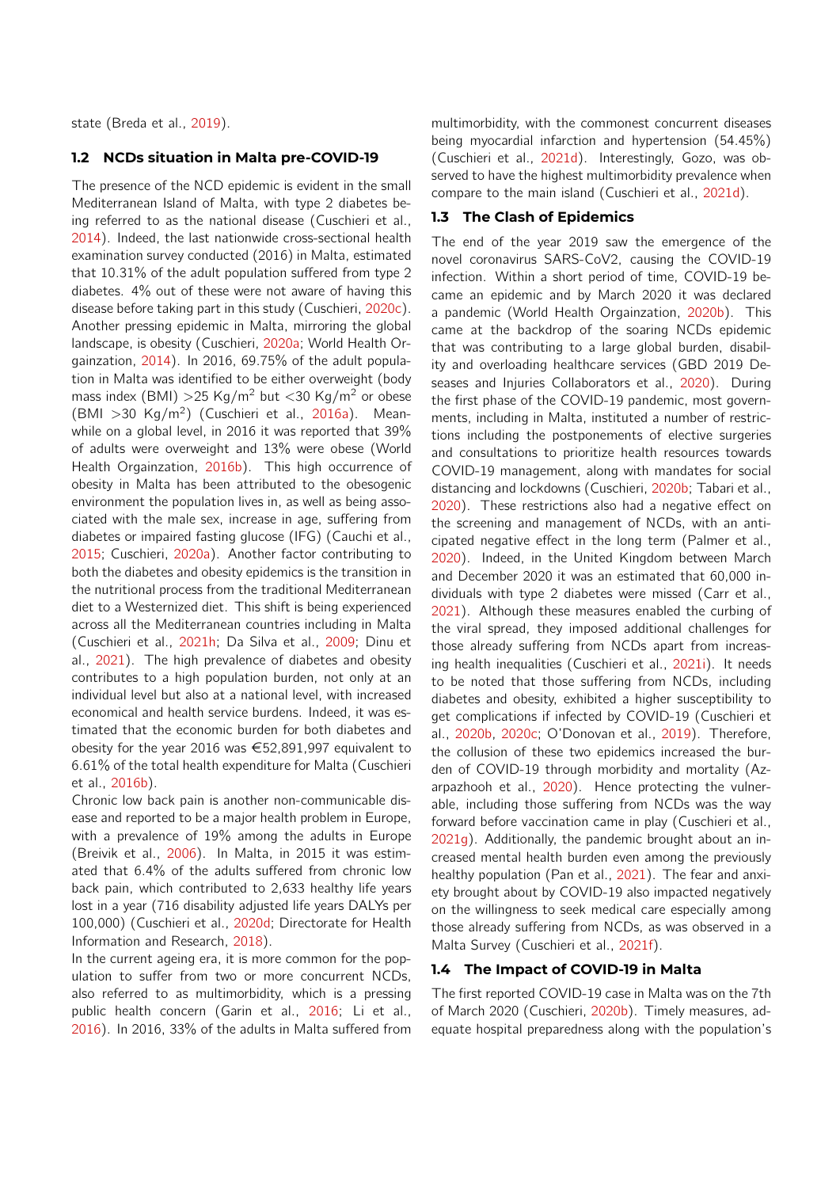state (Breda et al., [2019\)](#page-3-0).

#### **1.2 NCDs situation in Malta pre-COVID-19**

The presence of the NCD epidemic is evident in the small Mediterranean Island of Malta, with type 2 diabetes being referred to as the national disease (Cuschieri et al., [2014\)](#page-4-4). Indeed, the last nationwide cross-sectional health examination survey conducted (2016) in Malta, estimated that 10.31% of the adult population suffered from type 2 diabetes. 4% out of these were not aware of having this disease before taking part in this study (Cuschieri, [2020c\)](#page-4-5). Another pressing epidemic in Malta, mirroring the global landscape, is obesity (Cuschieri, [2020a;](#page-3-1) World Health Orgainzation, [2014\)](#page-5-7). In 2016, 69.75% of the adult population in Malta was identified to be either overweight (body mass index (BMI) > 25 Kg/m<sup>2</sup> but <30 Kg/m<sup>2</sup> or obese  $(BMI > 30 Kg/m<sup>2</sup>)$  (Cuschieri et al., [2016a\)](#page-4-6). Meanwhile on a global level, in 2016 it was reported that 39% of adults were overweight and 13% were obese (World Health Orgainzation, [2016b\)](#page-5-8). This high occurrence of obesity in Malta has been attributed to the obesogenic environment the population lives in, as well as being associated with the male sex, increase in age, suffering from diabetes or impaired fasting glucose (IFG) (Cauchi et al., [2015;](#page-3-2) Cuschieri, [2020a\)](#page-3-1). Another factor contributing to both the diabetes and obesity epidemics is the transition in the nutritional process from the traditional Mediterranean diet to a Westernized diet. This shift is being experienced across all the Mediterranean countries including in Malta (Cuschieri et al., [2021h;](#page-4-7) Da Silva et al., [2009;](#page-4-8) Dinu et al., [2021\)](#page-4-9). The high prevalence of diabetes and obesity contributes to a high population burden, not only at an individual level but also at a national level, with increased economical and health service burdens. Indeed, it was estimated that the economic burden for both diabetes and obesity for the year 2016 was €52,891,997 equivalent to 6.61% of the total health expenditure for Malta (Cuschieri et al., [2016b\)](#page-4-10).

Chronic low back pain is another non-communicable disease and reported to be a major health problem in Europe, with a prevalence of 19% among the adults in Europe (Breivik et al., [2006\)](#page-3-3). In Malta, in 2015 it was estimated that 6.4% of the adults suffered from chronic low back pain, which contributed to 2,633 healthy life years lost in a year (716 disability adjusted life years DALYs per 100,000) (Cuschieri et al., [2020d;](#page-4-11) Directorate for Health Information and Research, [2018\)](#page-4-12).

In the current ageing era, it is more common for the population to suffer from two or more concurrent NCDs, also referred to as multimorbidity, which is a pressing public health concern (Garin et al., [2016;](#page-4-13) Li et al., [2016\)](#page-5-9). In 2016, 33% of the adults in Malta suffered from multimorbidity, with the commonest concurrent diseases being myocardial infarction and hypertension (54.45%) (Cuschieri et al., [2021d\)](#page-3-4). Interestingly, Gozo, was observed to have the highest multimorbidity prevalence when compare to the main island (Cuschieri et al., [2021d\)](#page-3-4).

#### **1.3 The Clash of Epidemics**

The end of the year 2019 saw the emergence of the novel coronavirus SARS-CoV2, causing the COVID-19 infection. Within a short period of time, COVID-19 became an epidemic and by March 2020 it was declared a pandemic (World Health Orgainzation, [2020b\)](#page-5-10). This came at the backdrop of the soaring NCDs epidemic that was contributing to a large global burden, disability and overloading healthcare services (GBD 2019 Deseases and Injuries Collaborators et al., [2020\)](#page-4-14). During the first phase of the COVID-19 pandemic, most governments, including in Malta, instituted a number of restrictions including the postponements of elective surgeries and consultations to prioritize health resources towards COVID-19 management, along with mandates for social distancing and lockdowns (Cuschieri, [2020b;](#page-3-5) Tabari et al., [2020\)](#page-5-11). These restrictions also had a negative effect on the screening and management of NCDs, with an anticipated negative effect in the long term (Palmer et al., [2020\)](#page-5-12). Indeed, in the United Kingdom between March and December 2020 it was an estimated that 60,000 individuals with type 2 diabetes were missed (Carr et al., [2021\)](#page-3-6). Although these measures enabled the curbing of the viral spread, they imposed additional challenges for those already suffering from NCDs apart from increasing health inequalities (Cuschieri et al., [2021i\)](#page-4-15). It needs to be noted that those suffering from NCDs, including diabetes and obesity, exhibited a higher susceptibility to get complications if infected by COVID-19 (Cuschieri et al., [2020b,](#page-3-7) [2020c;](#page-3-8) O'Donovan et al., [2019\)](#page-5-13). Therefore, the collusion of these two epidemics increased the burden of COVID-19 through morbidity and mortality (Azarpazhooh et al., [2020\)](#page-3-9). Hence protecting the vulnerable, including those suffering from NCDs was the way forward before vaccination came in play (Cuschieri et al., [2021g\)](#page-4-16). Additionally, the pandemic brought about an increased mental health burden even among the previously healthy population (Pan et al., [2021\)](#page-5-14). The fear and anxiety brought about by COVID-19 also impacted negatively on the willingness to seek medical care especially among those already suffering from NCDs, as was observed in a Malta Survey (Cuschieri et al., [2021f\)](#page-4-17).

#### **1.4 The Impact of COVID-19 in Malta**

The first reported COVID-19 case in Malta was on the 7th of March 2020 (Cuschieri, [2020b\)](#page-3-5). Timely measures, adequate hospital preparedness along with the population's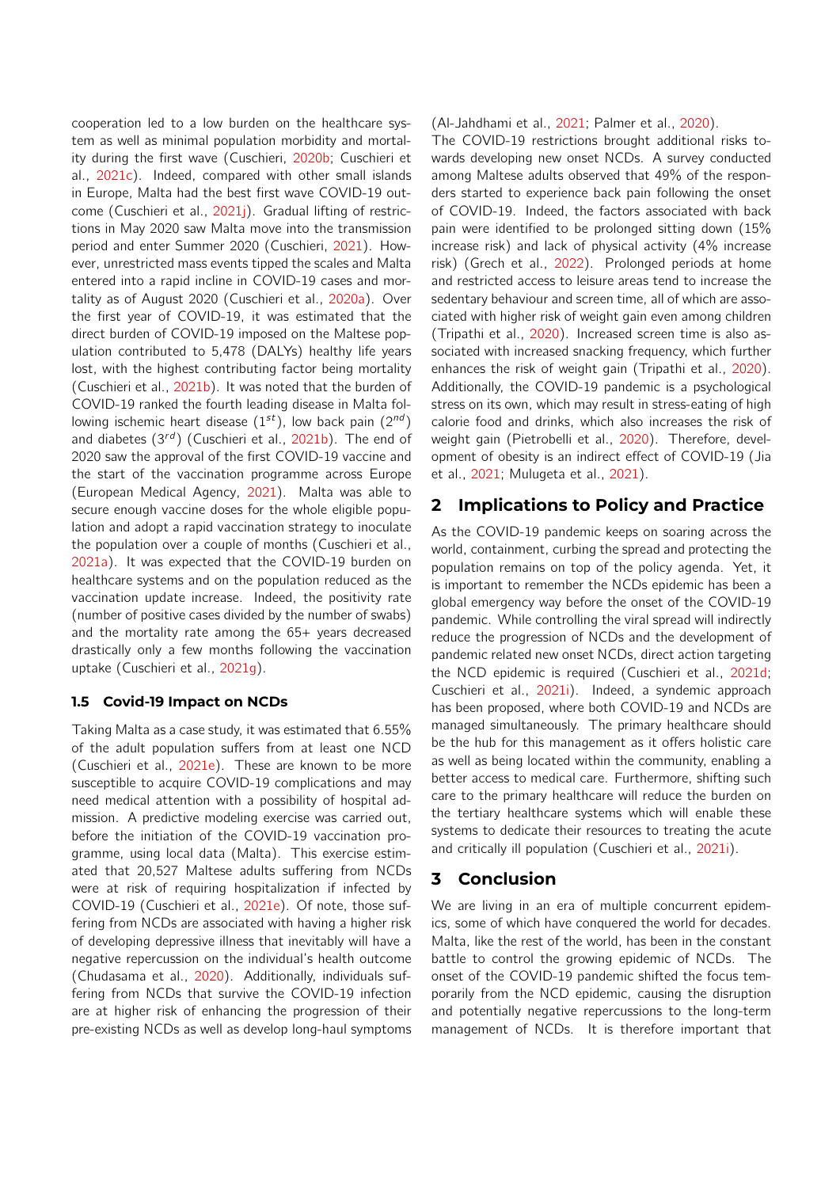cooperation led to a low burden on the healthcare system as well as minimal population morbidity and mortality during the first wave (Cuschieri, [2020b;](#page-3-5) Cuschieri et al., [2021c\)](#page-3-10). Indeed, compared with other small islands in Europe, Malta had the best first wave COVID-19 outcome (Cuschieri et al., [2021j\)](#page-4-18). Gradual lifting of restrictions in May 2020 saw Malta move into the transmission period and enter Summer 2020 (Cuschieri, [2021\)](#page-3-11). However, unrestricted mass events tipped the scales and Malta entered into a rapid incline in COVID-19 cases and mortality as of August 2020 (Cuschieri et al., [2020a\)](#page-3-12). Over the first year of COVID-19, it was estimated that the direct burden of COVID-19 imposed on the Maltese population contributed to 5,478 (DALYs) healthy life years lost, with the highest contributing factor being mortality (Cuschieri et al., [2021b\)](#page-3-13). It was noted that the burden of COVID-19 ranked the fourth leading disease in Malta following ischemic heart disease  $(1^{st})$ , low back pain  $(2^{nd})$ and diabetes  $(3^{rd})$  (Cuschieri et al., [2021b\)](#page-3-13). The end of 2020 saw the approval of the first COVID-19 vaccine and the start of the vaccination programme across Europe (European Medical Agency, [2021\)](#page-4-19). Malta was able to secure enough vaccine doses for the whole eligible population and adopt a rapid vaccination strategy to inoculate the population over a couple of months (Cuschieri et al., [2021a\)](#page-3-14). It was expected that the COVID-19 burden on healthcare systems and on the population reduced as the vaccination update increase. Indeed, the positivity rate (number of positive cases divided by the number of swabs) and the mortality rate among the 65+ years decreased drastically only a few months following the vaccination uptake (Cuschieri et al., [2021g\)](#page-4-16).

#### **1.5 Covid-19 Impact on NCDs**

Taking Malta as a case study, it was estimated that 6.55% of the adult population suffers from at least one NCD (Cuschieri et al., [2021e\)](#page-3-15). These are known to be more susceptible to acquire COVID-19 complications and may need medical attention with a possibility of hospital admission. A predictive modeling exercise was carried out, before the initiation of the COVID-19 vaccination programme, using local data (Malta). This exercise estimated that 20,527 Maltese adults suffering from NCDs were at risk of requiring hospitalization if infected by COVID-19 (Cuschieri et al., [2021e\)](#page-3-15). Of note, those suffering from NCDs are associated with having a higher risk of developing depressive illness that inevitably will have a negative repercussion on the individual's health outcome (Chudasama et al., [2020\)](#page-3-16). Additionally, individuals suffering from NCDs that survive the COVID-19 infection are at higher risk of enhancing the progression of their pre-existing NCDs as well as develop long-haul symptoms (Al-Jahdhami et al., [2021;](#page-3-17) Palmer et al., [2020\)](#page-5-12).

The COVID-19 restrictions brought additional risks towards developing new onset NCDs. A survey conducted among Maltese adults observed that 49% of the responders started to experience back pain following the onset of COVID-19. Indeed, the factors associated with back pain were identified to be prolonged sitting down (15% increase risk) and lack of physical activity (4% increase risk) (Grech et al., [2022\)](#page-4-20). Prolonged periods at home and restricted access to leisure areas tend to increase the sedentary behaviour and screen time, all of which are associated with higher risk of weight gain even among children (Tripathi et al., [2020\)](#page-5-15). Increased screen time is also associated with increased snacking frequency, which further enhances the risk of weight gain (Tripathi et al., [2020\)](#page-5-15). Additionally, the COVID-19 pandemic is a psychological stress on its own, which may result in stress-eating of high calorie food and drinks, which also increases the risk of weight gain (Pietrobelli et al., [2020\)](#page-5-16). Therefore, development of obesity is an indirect effect of COVID-19 (Jia et al., [2021;](#page-4-21) Mulugeta et al., [2021\)](#page-5-17).

# **2 Implications to Policy and Practice**

As the COVID-19 pandemic keeps on soaring across the world, containment, curbing the spread and protecting the population remains on top of the policy agenda. Yet, it is important to remember the NCDs epidemic has been a global emergency way before the onset of the COVID-19 pandemic. While controlling the viral spread will indirectly reduce the progression of NCDs and the development of pandemic related new onset NCDs, direct action targeting the NCD epidemic is required (Cuschieri et al., [2021d;](#page-3-4) Cuschieri et al., [2021i\)](#page-4-15). Indeed, a syndemic approach has been proposed, where both COVID-19 and NCDs are managed simultaneously. The primary healthcare should be the hub for this management as it offers holistic care as well as being located within the community, enabling a better access to medical care. Furthermore, shifting such care to the primary healthcare will reduce the burden on the tertiary healthcare systems which will enable these systems to dedicate their resources to treating the acute and critically ill population (Cuschieri et al., [2021i\)](#page-4-15).

# **3 Conclusion**

We are living in an era of multiple concurrent epidemics, some of which have conquered the world for decades. Malta, like the rest of the world, has been in the constant battle to control the growing epidemic of NCDs. The onset of the COVID-19 pandemic shifted the focus temporarily from the NCD epidemic, causing the disruption and potentially negative repercussions to the long-term management of NCDs. It is therefore important that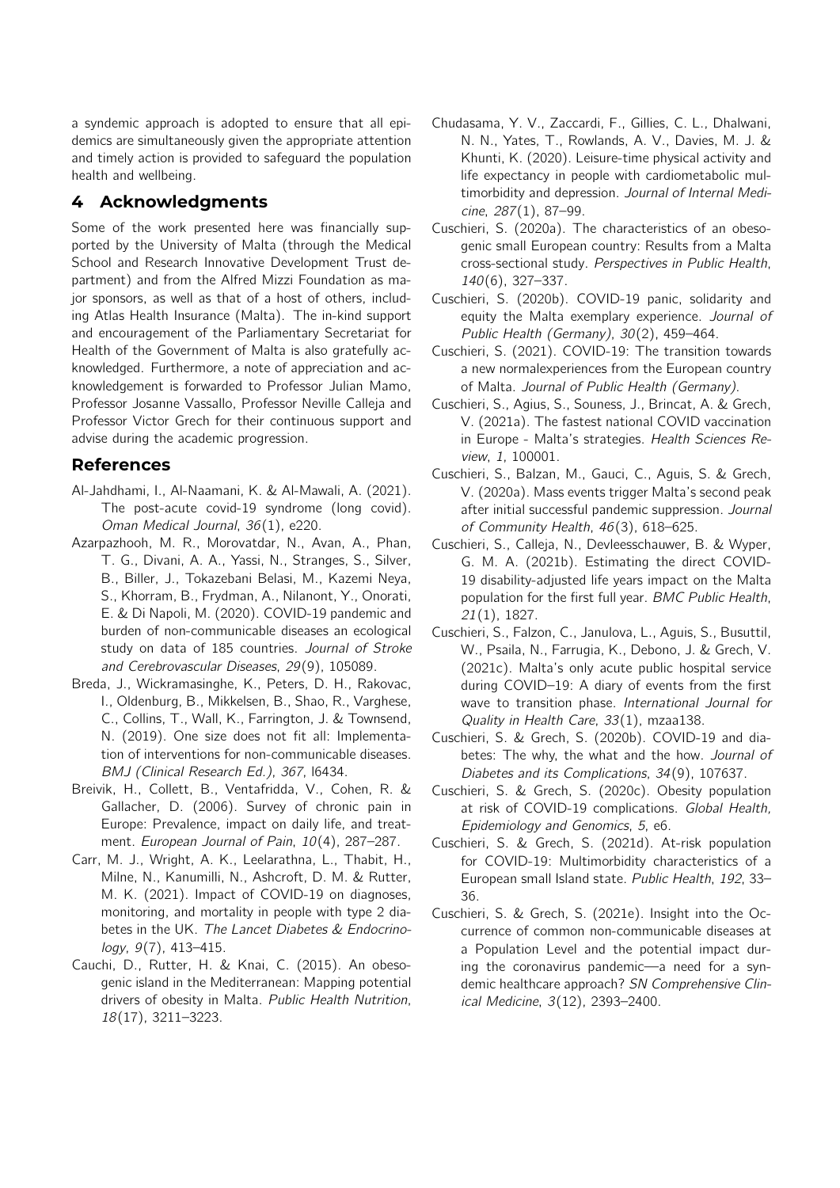a syndemic approach is adopted to ensure that all epidemics are simultaneously given the appropriate attention and timely action is provided to safeguard the population health and wellbeing.

# **4 Acknowledgments**

Some of the work presented here was financially supported by the University of Malta (through the Medical School and Research Innovative Development Trust department) and from the Alfred Mizzi Foundation as major sponsors, as well as that of a host of others, including Atlas Health Insurance (Malta). The in-kind support and encouragement of the Parliamentary Secretariat for Health of the Government of Malta is also gratefully acknowledged. Furthermore, a note of appreciation and acknowledgement is forwarded to Professor Julian Mamo, Professor Josanne Vassallo, Professor Neville Calleja and Professor Victor Grech for their continuous support and advise during the academic progression.

## **References**

- <span id="page-3-17"></span>Al-Jahdhami, I., Al-Naamani, K. & Al-Mawali, A. (2021). The post-acute covid-19 syndrome (long covid). Oman Medical Journal, 36(1), e220.
- <span id="page-3-9"></span>Azarpazhooh, M. R., Morovatdar, N., Avan, A., Phan, T. G., Divani, A. A., Yassi, N., Stranges, S., Silver, B., Biller, J., Tokazebani Belasi, M., Kazemi Neya, S., Khorram, B., Frydman, A., Nilanont, Y., Onorati, E. & Di Napoli, M. (2020). COVID-19 pandemic and burden of non-communicable diseases an ecological study on data of 185 countries. Journal of Stroke and Cerebrovascular Diseases, 29(9), 105089.
- <span id="page-3-0"></span>Breda, J., Wickramasinghe, K., Peters, D. H., Rakovac, I., Oldenburg, B., Mikkelsen, B., Shao, R., Varghese, C., Collins, T., Wall, K., Farrington, J. & Townsend, N. (2019). One size does not fit all: Implementation of interventions for non-communicable diseases. BMJ (Clinical Research Ed.), 367, l6434.
- <span id="page-3-3"></span>Breivik, H., Collett, B., Ventafridda, V., Cohen, R. & Gallacher, D. (2006). Survey of chronic pain in Europe: Prevalence, impact on daily life, and treatment. European Journal of Pain, 10(4), 287-287.
- <span id="page-3-6"></span>Carr, M. J., Wright, A. K., Leelarathna, L., Thabit, H., Milne, N., Kanumilli, N., Ashcroft, D. M. & Rutter, M. K. (2021). Impact of COVID-19 on diagnoses, monitoring, and mortality in people with type 2 diabetes in the UK. The Lancet Diabetes & Endocrinology, 9(7), 413–415.
- <span id="page-3-2"></span>Cauchi, D., Rutter, H. & Knai, C. (2015). An obesogenic island in the Mediterranean: Mapping potential drivers of obesity in Malta. Public Health Nutrition, 18(17), 3211–3223.
- <span id="page-3-16"></span>Chudasama, Y. V., Zaccardi, F., Gillies, C. L., Dhalwani, N. N., Yates, T., Rowlands, A. V., Davies, M. J. & Khunti, K. (2020). Leisure-time physical activity and life expectancy in people with cardiometabolic multimorbidity and depression. Journal of Internal Medicine, 287(1), 87–99.
- <span id="page-3-1"></span>Cuschieri, S. (2020a). The characteristics of an obesogenic small European country: Results from a Malta cross-sectional study. Perspectives in Public Health, 140(6), 327–337.
- <span id="page-3-5"></span>Cuschieri, S. (2020b). COVID-19 panic, solidarity and equity the Malta exemplary experience. Journal of Public Health (Germany), 30(2), 459–464.
- <span id="page-3-11"></span>Cuschieri, S. (2021). COVID-19: The transition towards a new normalexperiences from the European country of Malta. Journal of Public Health (Germany).
- <span id="page-3-14"></span>Cuschieri, S., Agius, S., Souness, J., Brincat, A. & Grech, V. (2021a). The fastest national COVID vaccination in Europe - Malta's strategies. Health Sciences Review, 1, 100001.
- <span id="page-3-12"></span>Cuschieri, S., Balzan, M., Gauci, C., Aguis, S. & Grech, V. (2020a). Mass events trigger Malta's second peak after initial successful pandemic suppression. Journal of Community Health, 46(3), 618–625.
- <span id="page-3-13"></span>Cuschieri, S., Calleja, N., Devleesschauwer, B. & Wyper, G. M. A. (2021b). Estimating the direct COVID-19 disability-adjusted life years impact on the Malta population for the first full year. BMC Public Health, 21(1), 1827.
- <span id="page-3-10"></span>Cuschieri, S., Falzon, C., Janulova, L., Aguis, S., Busuttil, W., Psaila, N., Farrugia, K., Debono, J. & Grech, V. (2021c). Malta's only acute public hospital service during COVID–19: A diary of events from the first wave to transition phase. International Journal for Quality in Health Care, 33(1), mzaa138.
- <span id="page-3-7"></span>Cuschieri, S. & Grech, S. (2020b). COVID-19 and diabetes: The why, the what and the how. Journal of Diabetes and its Complications, 34(9), 107637.
- <span id="page-3-8"></span>Cuschieri, S. & Grech, S. (2020c). Obesity population at risk of COVID-19 complications. Global Health, Epidemiology and Genomics, 5, e6.
- <span id="page-3-4"></span>Cuschieri, S. & Grech, S. (2021d). At-risk population for COVID-19: Multimorbidity characteristics of a European small Island state. Public Health, 192, 33– 36.
- <span id="page-3-15"></span>Cuschieri, S. & Grech, S. (2021e). Insight into the Occurrence of common non-communicable diseases at a Population Level and the potential impact during the coronavirus pandemic—a need for a syndemic healthcare approach? SN Comprehensive Clinical Medicine, 3(12), 2393–2400.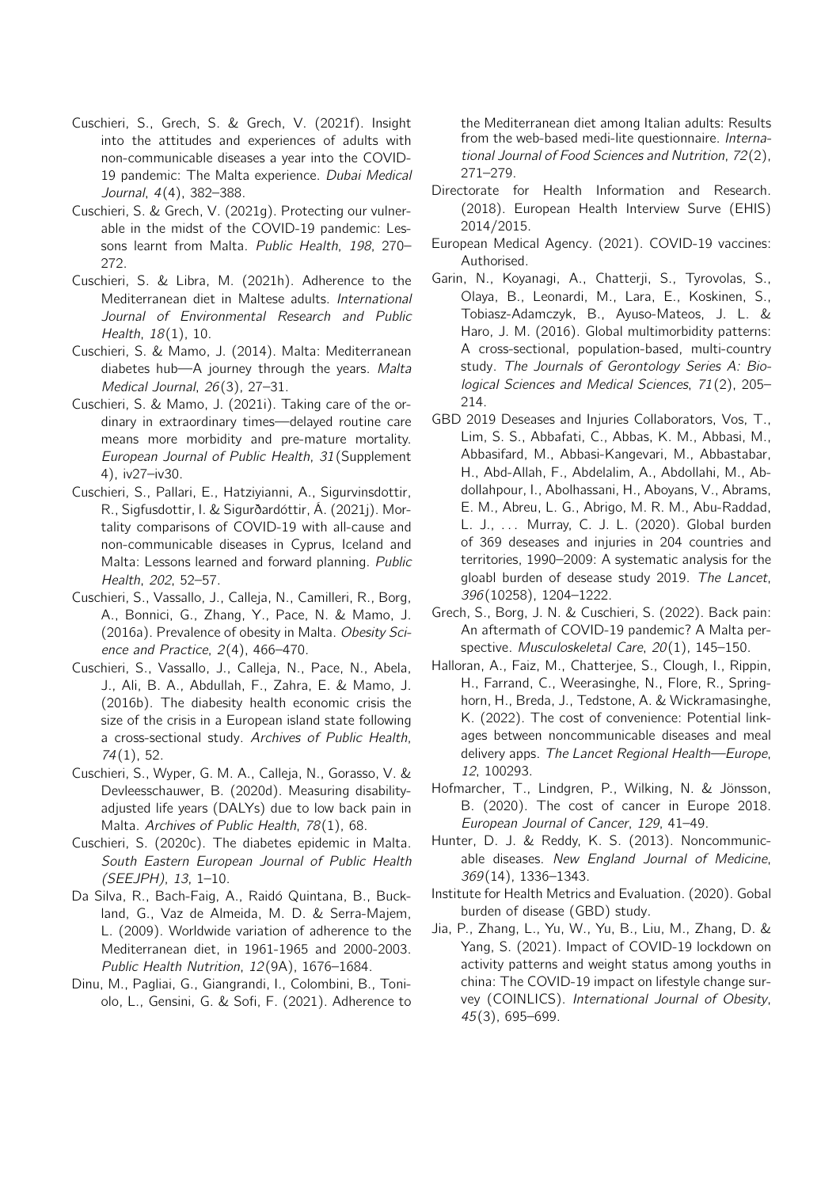- <span id="page-4-17"></span>Cuschieri, S., Grech, S. & Grech, V. (2021f). Insight into the attitudes and experiences of adults with non-communicable diseases a year into the COVID-19 pandemic: The Malta experience. Dubai Medical Journal, 4(4), 382–388.
- <span id="page-4-16"></span>Cuschieri, S. & Grech, V. (2021g). Protecting our vulnerable in the midst of the COVID-19 pandemic: Lessons learnt from Malta. Public Health, 198, 270– 272.
- <span id="page-4-7"></span>Cuschieri, S. & Libra, M. (2021h). Adherence to the Mediterranean diet in Maltese adults. International Journal of Environmental Research and Public Health, 18(1), 10.
- <span id="page-4-4"></span>Cuschieri, S. & Mamo, J. (2014). Malta: Mediterranean diabetes hub—A journey through the years. Malta Medical Journal, 26(3), 27–31.
- <span id="page-4-15"></span>Cuschieri, S. & Mamo, J. (2021i). Taking care of the ordinary in extraordinary times—delayed routine care means more morbidity and pre-mature mortality. European Journal of Public Health, 31(Supplement 4), iv27–iv30.
- <span id="page-4-18"></span>Cuschieri, S., Pallari, E., Hatziyianni, A., Sigurvinsdottir, R., Sigfusdottir, I. & Sigurðardóttir, Á. (2021j). Mortality comparisons of COVID-19 with all-cause and non-communicable diseases in Cyprus, Iceland and Malta: Lessons learned and forward planning. Public Health, 202, 52–57.
- <span id="page-4-6"></span>Cuschieri, S., Vassallo, J., Calleja, N., Camilleri, R., Borg, A., Bonnici, G., Zhang, Y., Pace, N. & Mamo, J. (2016a). Prevalence of obesity in Malta. Obesity Science and Practice, 2(4), 466–470.
- <span id="page-4-10"></span>Cuschieri, S., Vassallo, J., Calleja, N., Pace, N., Abela, J., Ali, B. A., Abdullah, F., Zahra, E. & Mamo, J. (2016b). The diabesity health economic crisis the size of the crisis in a European island state following a cross-sectional study. Archives of Public Health, 74(1), 52.
- <span id="page-4-11"></span>Cuschieri, S., Wyper, G. M. A., Calleja, N., Gorasso, V. & Devleesschauwer, B. (2020d). Measuring disabilityadjusted life years (DALYs) due to low back pain in Malta. Archives of Public Health, 78(1), 68.
- <span id="page-4-5"></span>Cuschieri, S. (2020c). The diabetes epidemic in Malta. South Eastern European Journal of Public Health (SEEJPH), 13, 1–10.
- <span id="page-4-8"></span>Da Silva, R., Bach-Faig, A., Raidó Quintana, B., Buckland, G., Vaz de Almeida, M. D. & Serra-Majem, L. (2009). Worldwide variation of adherence to the Mediterranean diet, in 1961-1965 and 2000-2003. Public Health Nutrition, 12(9A), 1676–1684.
- <span id="page-4-9"></span>Dinu, M., Pagliai, G., Giangrandi, I., Colombini, B., Toniolo, L., Gensini, G. & Sofi, F. (2021). Adherence to

the Mediterranean diet among Italian adults: Results from the web-based medi-lite questionnaire. International Journal of Food Sciences and Nutrition, 72(2), 271–279.

- <span id="page-4-12"></span>Directorate for Health Information and Research. (2018). European Health Interview Surve (EHIS) 2014/2015.
- <span id="page-4-19"></span>European Medical Agency. (2021). COVID-19 vaccines: Authorised.
- <span id="page-4-13"></span>Garin, N., Koyanagi, A., Chatterji, S., Tyrovolas, S., Olaya, B., Leonardi, M., Lara, E., Koskinen, S., Tobiasz-Adamczyk, B., Ayuso-Mateos, J. L. & Haro, J. M. (2016). Global multimorbidity patterns: A cross-sectional, population-based, multi-country study. The Journals of Gerontology Series A: Biological Sciences and Medical Sciences, 71(2), 205– 214.
- <span id="page-4-14"></span>GBD 2019 Deseases and Injuries Collaborators, Vos, T., Lim, S. S., Abbafati, C., Abbas, K. M., Abbasi, M., Abbasifard, M., Abbasi-Kangevari, M., Abbastabar, H., Abd-Allah, F., Abdelalim, A., Abdollahi, M., Abdollahpour, I., Abolhassani, H., Aboyans, V., Abrams, E. M., Abreu, L. G., Abrigo, M. R. M., Abu-Raddad, L. J., ... Murray, C. J. L. (2020). Global burden of 369 deseases and injuries in 204 countries and territories, 1990–2009: A systematic analysis for the gloabl burden of desease study 2019. The Lancet, 396(10258), 1204–1222.
- <span id="page-4-20"></span>Grech, S., Borg, J. N. & Cuschieri, S. (2022). Back pain: An aftermath of COVID-19 pandemic? A Malta perspective. Musculoskeletal Care, 20(1), 145–150.
- <span id="page-4-2"></span>Halloran, A., Faiz, M., Chatterjee, S., Clough, I., Rippin, H., Farrand, C., Weerasinghe, N., Flore, R., Springhorn, H., Breda, J., Tedstone, A. & Wickramasinghe, K. (2022). The cost of convenience: Potential linkages between noncommunicable diseases and meal delivery apps. The Lancet Regional Health—Europe, 12, 100293.
- <span id="page-4-3"></span>Hofmarcher, T., Lindgren, P., Wilking, N. & Jönsson, B. (2020). The cost of cancer in Europe 2018. European Journal of Cancer, 129, 41–49.
- <span id="page-4-1"></span>Hunter, D. J. & Reddy, K. S. (2013). Noncommunicable diseases. New England Journal of Medicine, 369(14), 1336–1343.
- <span id="page-4-0"></span>Institute for Health Metrics and Evaluation. (2020). Gobal burden of disease (GBD) study.
- <span id="page-4-21"></span>Jia, P., Zhang, L., Yu, W., Yu, B., Liu, M., Zhang, D. & Yang, S. (2021). Impact of COVID-19 lockdown on activity patterns and weight status among youths in china: The COVID-19 impact on lifestyle change survey (COINLICS). International Journal of Obesity, 45(3), 695–699.